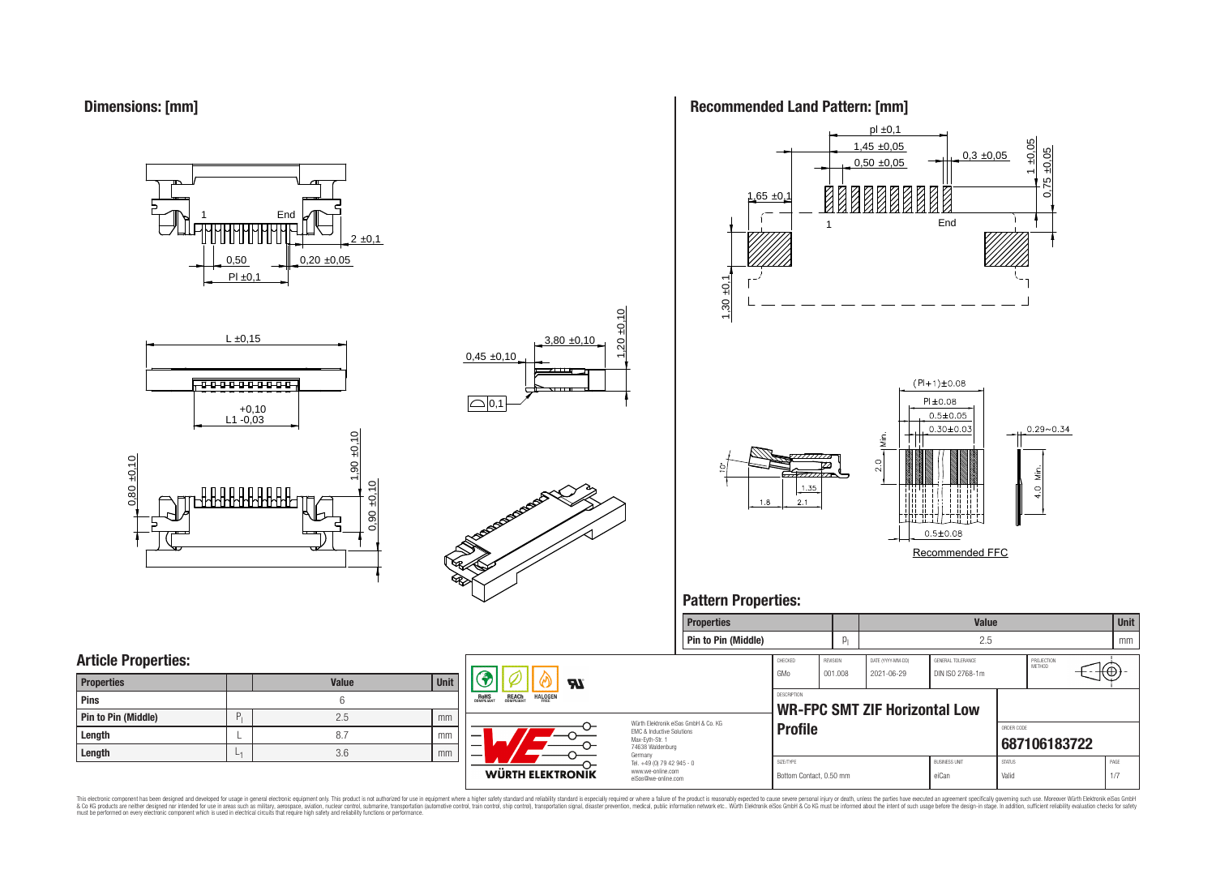**Dimensions: [mm]**

0,50  $PI \pm 0.1$  $0,20 \pm 0,05$  $2 \pm 0,1$ **End** 







### **Recommended Land Pattern: [mm]**



Recommended FFC

### **Pattern Properties:**



This electronic component has been designed and developed for usage in general electronic equipment only. This product is not authorized for use in equipment where a higher safely standard and reliability standard si espec & Ook product a label and the membed of the seasuch as marked and as which such a membed and the such assume that income in the seasuch and the simulation and the such assume that include to the such a membed and the such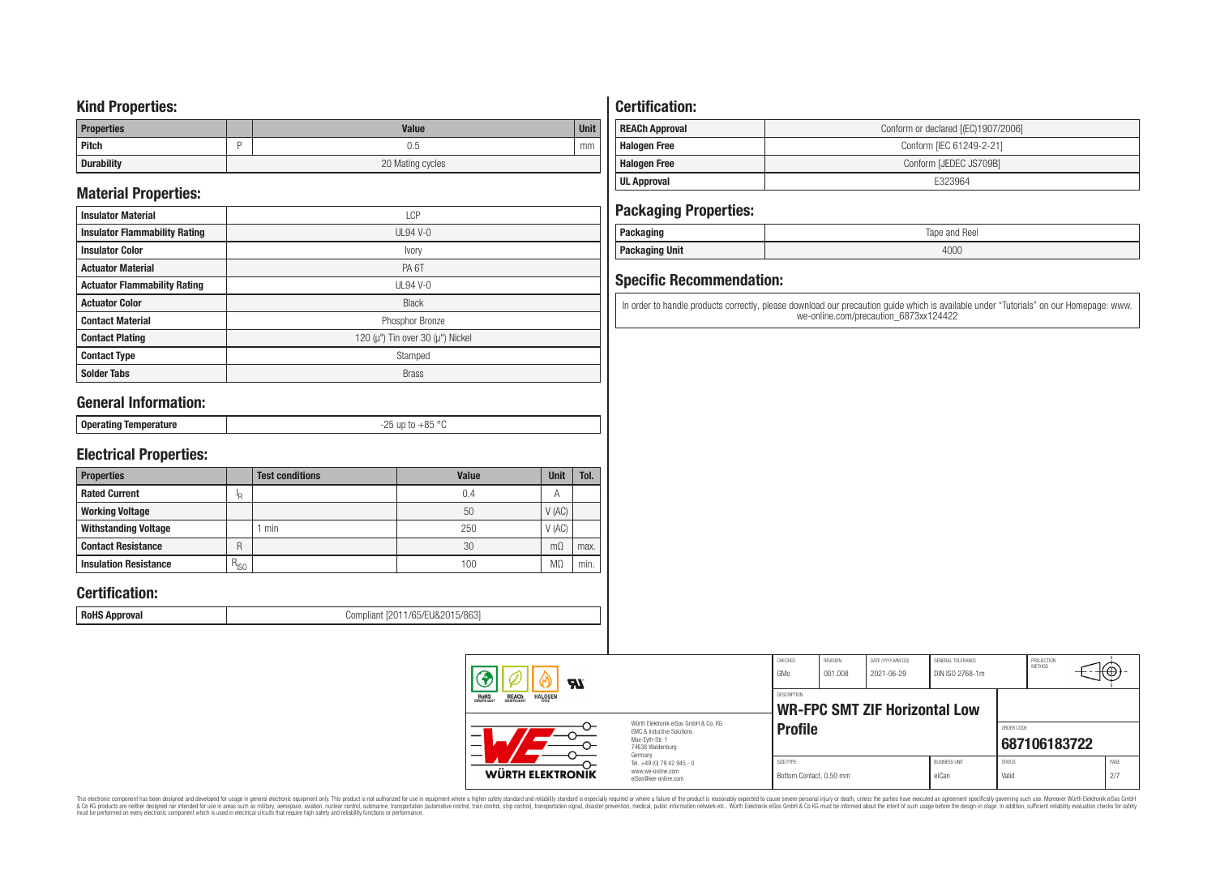### **Kind Properties:**

| <b>Properties</b> | <b>Value</b>     | <b>Unit</b> |  |  |  |  |
|-------------------|------------------|-------------|--|--|--|--|
| Pitch             | U.5              | mm          |  |  |  |  |
| <b>Durability</b> | 20 Mating cycles |             |  |  |  |  |

## **Material Properties:**

| <b>Insulator Material</b>            | <b>LCP</b>                                   |
|--------------------------------------|----------------------------------------------|
| <b>Insulator Flammability Rating</b> | $UL94V-0$                                    |
| <b>Insulator Color</b>               | Ivory                                        |
| <b>Actuator Material</b>             | PA <sub>6</sub> T                            |
| <b>Actuator Flammability Rating</b>  | $UL94V-0$                                    |
| <b>Actuator Color</b>                | <b>Black</b>                                 |
| <b>Contact Material</b>              | Phosphor Bronze                              |
| <b>Contact Plating</b>               | 120 ( $\mu$ ") Tin over 30 ( $\mu$ ") Nickel |
| <b>Contact Type</b>                  | Stamped                                      |
| <b>Solder Tabs</b>                   | <b>Brass</b>                                 |

## **General Information:**

| <b>Operating Temperature</b> |
|------------------------------|
|------------------------------|

## **Electrical Properties:**

| <b>Properties</b>            |           | <b>Test conditions</b> | Value | <b>Unit</b>    | Tol. |
|------------------------------|-----------|------------------------|-------|----------------|------|
| <b>Rated Current</b>         | ΙR        |                        | 0.4   | $\overline{A}$ |      |
| <b>Working Voltage</b>       |           |                        | 50    | V(AC)          |      |
| <b>Withstanding Voltage</b>  |           | min                    | 250   | V(AC)          |      |
| <b>Contact Resistance</b>    | R         |                        | 30    | $m\Omega$      | max. |
| <b>Insulation Resistance</b> | $R_{ISO}$ |                        | 100   | M.             | min. |

## **Certification:**

**RoHS Approval RoHS Approval Compliant** [2011/65/EU&2015/863]

## **Certification:**

| <b>REACh Approval</b> | Conform or declared [(EC)1907/2006] |
|-----------------------|-------------------------------------|
| <b>Halogen Free</b>   | Conform [IEC 61249-2-21]            |
| <b>Halogen Free</b>   | Conform [JEDEC JS709B]              |
| UL Approval           | F323964                             |

## **Packaging Properties:**

| . aundyniy                | Reel<br>lape<br>and |
|---------------------------|---------------------|
| <b>Unit</b><br>rackayılıy | 4000                |

## **Specific Recommendation:**

In order to handle products correctly, please download our precaution guide which is available under "Tutorials" on our Homepage: www. we-online.com/precaution\_6873xx124422

| <b>HI</b>                                                                |                                                                                                                     | CHECKED<br>GMo                                      | REVISION<br>001.008 | DATE (YYYY-MM-DD)<br>2021-06-29 | GENERAL TOLERANCE<br>DIN ISO 2768-1m |                            | PROJECTION<br>METHOD | ιτΨ         |  |
|--------------------------------------------------------------------------|---------------------------------------------------------------------------------------------------------------------|-----------------------------------------------------|---------------------|---------------------------------|--------------------------------------|----------------------------|----------------------|-------------|--|
| ROHS<br>COMPLIANT<br><b>REACH</b><br>COMPLIANT<br><b>HALOGEN</b><br>FRFF |                                                                                                                     | DESCRIPTION<br><b>WR-FPC SMT ZIF Horizontal Low</b> |                     |                                 |                                      |                            |                      |             |  |
|                                                                          | Würth Flektronik eiSos GmbH & Co. KG<br>EMC & Inductive Solutions<br>Max-Evth-Str. 1<br>74638 Waldenburg<br>Germany | <b>Profile</b>                                      |                     |                                 |                                      | ORDER CODE<br>687106183722 |                      |             |  |
| WÜRTH ELEKTRONIK                                                         | Tel. +49 (0) 79 42 945 - 0<br>www.we-online.com<br>eiSos@we-online.com                                              | SIZE/TYPE<br>Bottom Contact, 0.50 mm                |                     |                                 | <b>BUSINESS UNIT</b><br>eiCan        | <b>STATUS</b><br>Valid     |                      | PAGE<br>2/7 |  |

This electronic component has been designed and developed for usage in general electronic equipment only. This product is not authorized for subserved requipment where a higher selection equipment where a higher selection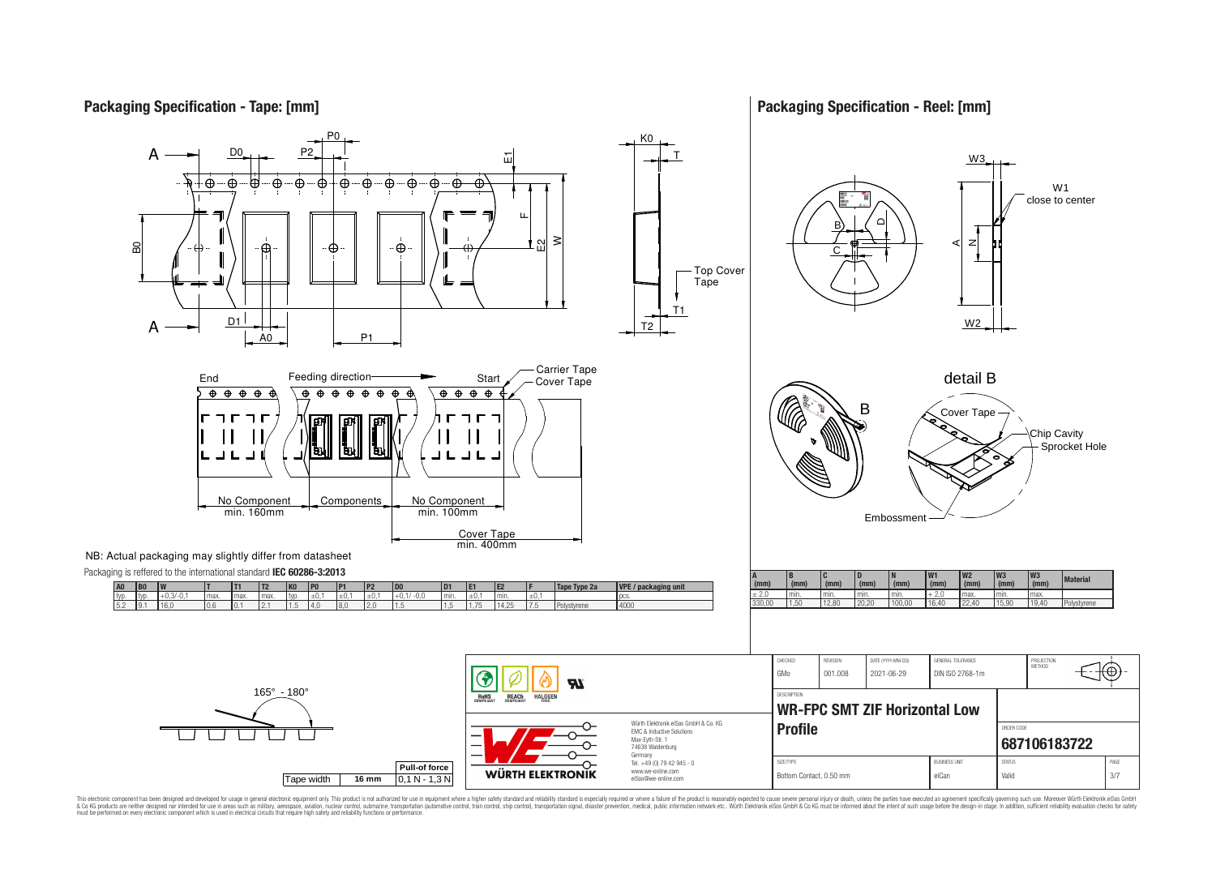## **Packaging Specification - Tape: [mm]**

**Packaging Specification - Reel: [mm]**



This electronic component has been designed and developed for usage in general electronic equipment only. This product is not authorized for use in equipment where a higher safely standard and reliability standard si espec & Ook product a label and the membed of the seasuch as marked and as which such a membed and the such assume that income in the seasuch and the simulation and the such assume that include to the such a membed and the such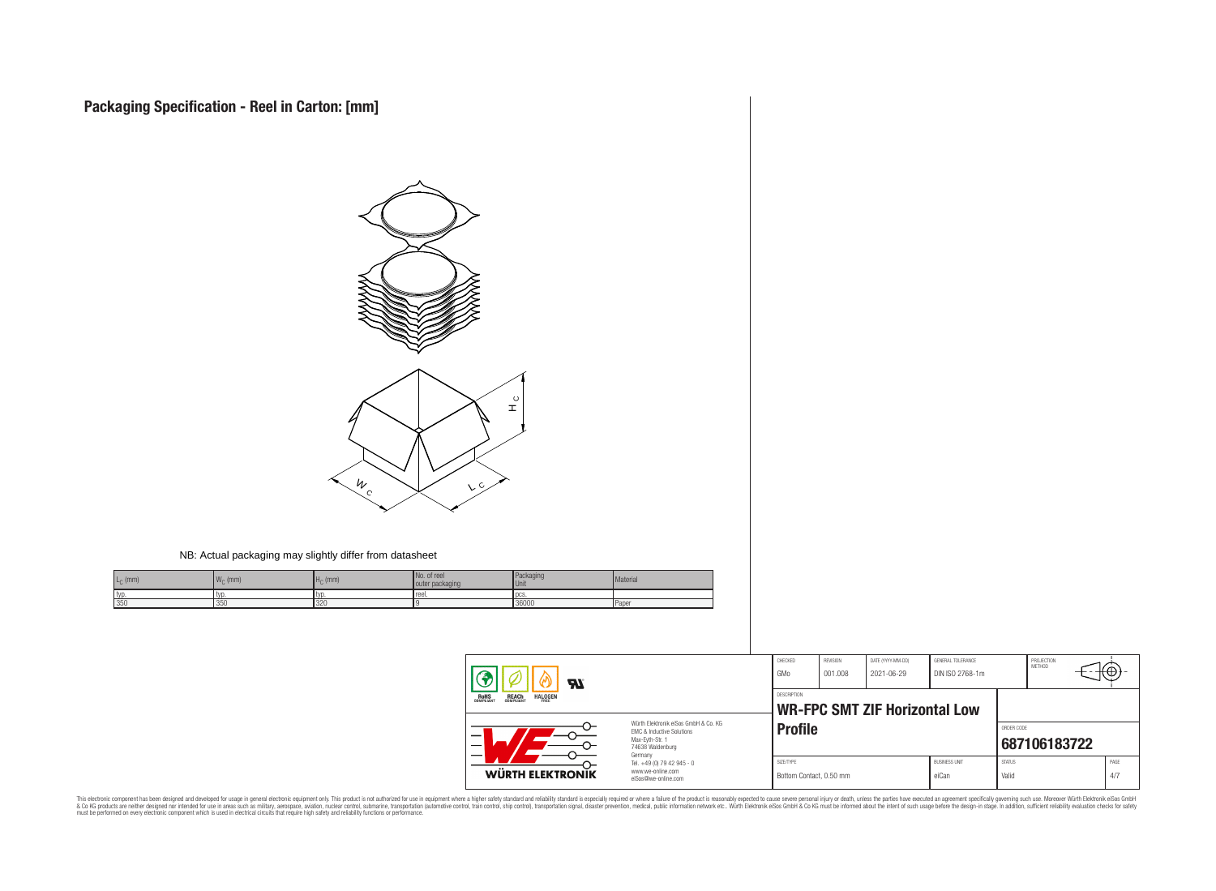

#### NB: Actual packaging may slightly differ from datasheet

| $L_C$ (mm) | 144<br>$W_C$ (mm) | $H0$ (mm) | No. of ree<br>outer packaging | Packaging<br><b>Unit</b> | Material |
|------------|-------------------|-----------|-------------------------------|--------------------------|----------|
| typ        | typ               |           | reel.                         | <b>DCS</b>               |          |
| 350        | 1350              | 320       |                               | 36000                    | Paper    |

| <b>RI</b><br><b>REACH</b><br>COMPLIANT<br><b>HALOGEN</b><br><b>ROHS</b><br>COMPLIANT |                                                                                                                     | CHECKED<br>GMo                               | REVISION<br>001.008 | DATE (YYYY-MM-DD)<br>2021-06-29 | GENERAL TOLERANCE<br>DIN ISO 2768-1m |                        | PROJECTION<br><b>METHOD</b> | ₩Œ          |
|--------------------------------------------------------------------------------------|---------------------------------------------------------------------------------------------------------------------|----------------------------------------------|---------------------|---------------------------------|--------------------------------------|------------------------|-----------------------------|-------------|
|                                                                                      |                                                                                                                     | DESCRIPTION<br>WR-FPC SMT ZIF Horizontal Low |                     |                                 |                                      |                        |                             |             |
| –                                                                                    | Würth Elektronik eiSos GmbH & Co. KG<br>EMC & Inductive Solutions<br>Max-Evth-Str. 1<br>74638 Waldenburg<br>Germany | <b>Profile</b>                               |                     |                                 |                                      | ORDER CODE             | 687106183722                |             |
| WÜRTH ELEKTRONIK                                                                     | Tel. +49 (0) 79 42 945 - 0<br>www.we-online.com<br>eiSos@we-online.com                                              | SIZE/TYPE<br>Bottom Contact, 0.50 mm         |                     |                                 | <b>BUSINESS UNIT</b><br>eiCan        | <b>STATUS</b><br>Valid |                             | PAGE<br>4/7 |

This electronic component has been designed and developed for usage in general electronic equipment only. This product is not authorized for subserved requipment where a higher selection equipment where a higher selection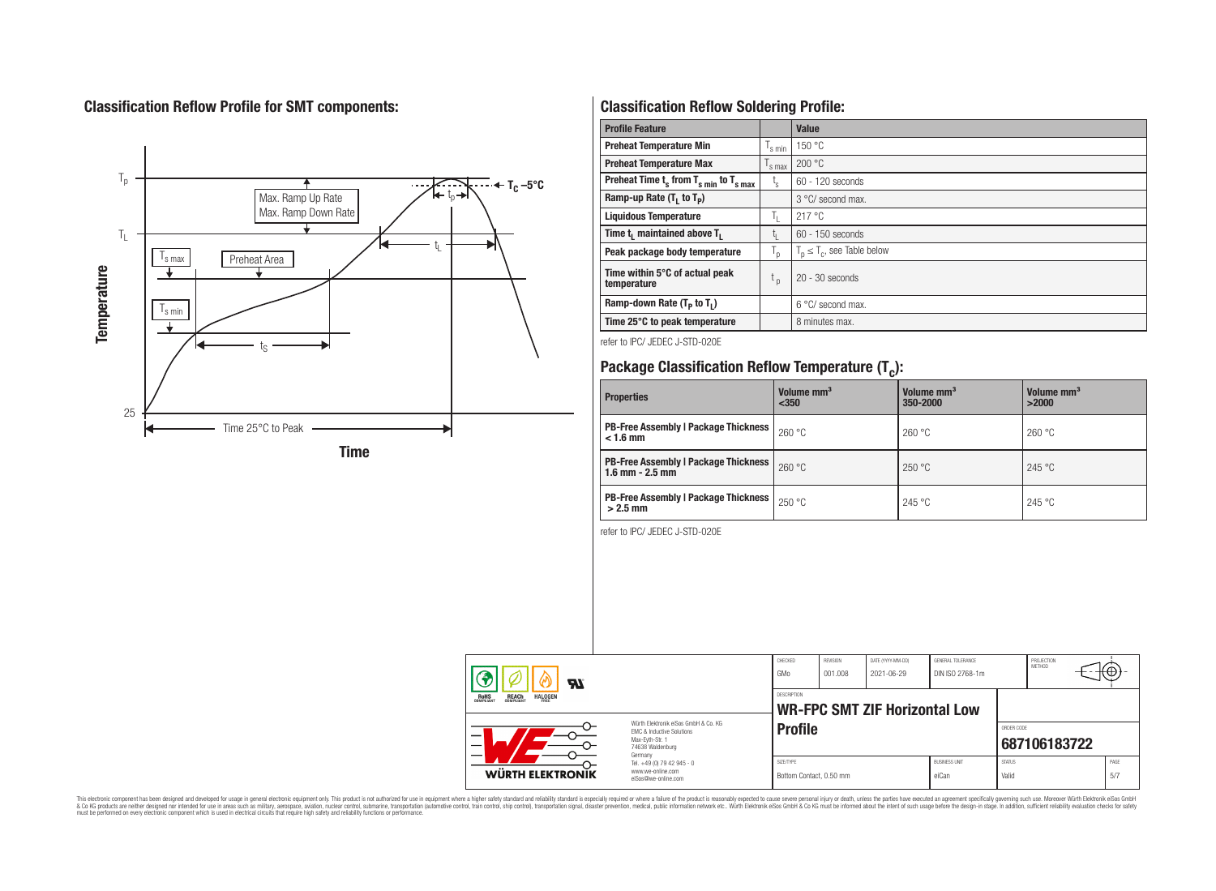## **Classification Reflow Profile for SMT components:**



## **Classification Reflow Soldering Profile:**

| <b>Profile Feature</b>                              |                    | <b>Value</b>                     |
|-----------------------------------------------------|--------------------|----------------------------------|
| <b>Preheat Temperature Min</b>                      | $\frac{1}{s}$ min  | 150 °C                           |
| <b>Preheat Temperature Max</b>                      | $\mathsf{I}$ s max | 200 °C                           |
| Preheat Time $t_s$ from $T_{s min}$ to $T_{s max}$  | t,                 | $60 - 120$ seconds               |
| Ramp-up Rate $(T_1$ to $T_p$ )                      |                    | $3^{\circ}$ C/ second max.       |
| <b>Liquidous Temperature</b>                        | T,                 | 217 °C                           |
| Time t <sub>i</sub> maintained above T <sub>1</sub> | t,                 | 60 - 150 seconds                 |
| Peak package body temperature                       | T <sub>o</sub>     | $T_p \leq T_c$ , see Table below |
| Time within 5°C of actual peak<br>temperature       | $t_{p}$            | $20 - 30$ seconds                |
| Ramp-down Rate $(T_p$ to $T_1$ )                    |                    | $6^{\circ}$ C/ second max.       |
| Time 25°C to peak temperature                       |                    | 8 minutes max.                   |

refer to IPC/ JEDEC J-STD-020E

# **Package Classification Reflow Temperature (T<sup>c</sup> ):**

| <b>Properties</b>                                                    | Volume mm <sup>3</sup><br>< 350 | Volume mm <sup>3</sup><br>350-2000 | Volume mm <sup>3</sup><br>>2000 |
|----------------------------------------------------------------------|---------------------------------|------------------------------------|---------------------------------|
| <b>PB-Free Assembly   Package Thickness  </b><br>$< 1.6$ mm          | 260 °C                          | 260 °C                             | 260 °C                          |
| <b>PB-Free Assembly   Package Thickness  </b><br>$1.6$ mm $- 2.5$ mm | 260 °C                          | 250 °C                             | 245 °C                          |
| <b>PB-Free Assembly   Package Thickness  </b><br>$>2.5$ mm           | 250 °C                          | 245 °C                             | 245 °C                          |

refer to IPC/ JEDEC J-STD-020E

| ЯI                                                               |                                                                                                                                | CHECKED<br>GMo                       | <b>REVISION</b><br>001.008 | DATE (YYYY-MM-DD)<br>2021-06-29      | <b>GENERAL TOLERANCE</b><br>DIN ISO 2768-1m |                        | PROJECTION<br><b>METHOD</b> | ₩₩          |
|------------------------------------------------------------------|--------------------------------------------------------------------------------------------------------------------------------|--------------------------------------|----------------------------|--------------------------------------|---------------------------------------------|------------------------|-----------------------------|-------------|
| REACH<br>COMPLIANT<br><b>HALOGEN</b><br><b>ROHS</b><br>COMPLIANT |                                                                                                                                | <b>DESCRIPTION</b>                   |                            | <b>WR-FPC SMT ZIF Horizontal Low</b> |                                             |                        |                             |             |
| -                                                                | Würth Flektronik eiSos GmbH & Co. KG<br><b>EMC &amp; Inductive Solutions</b><br>Max-Eyth-Str. 1<br>74638 Waldenburg<br>Germany | <b>Profile</b>                       |                            |                                      |                                             | ORDER CODE             | 687106183722                |             |
| <b>WÜRTH ELEKTRONIK</b>                                          | Tel. +49 (0) 79 42 945 - 0<br>www.we-online.com<br>eiSos@we-online.com                                                         | SIZE/TYPE<br>Bottom Contact, 0.50 mm |                            |                                      | <b>BUSINESS UNIT</b><br>eiCan               | <b>STATUS</b><br>Valid |                             | PAGE<br>5/7 |

This electronic component has been designed and developed for usage in general electronic equipment only. This product is not authorized for subserved requipment where a higher selection equipment where a higher selection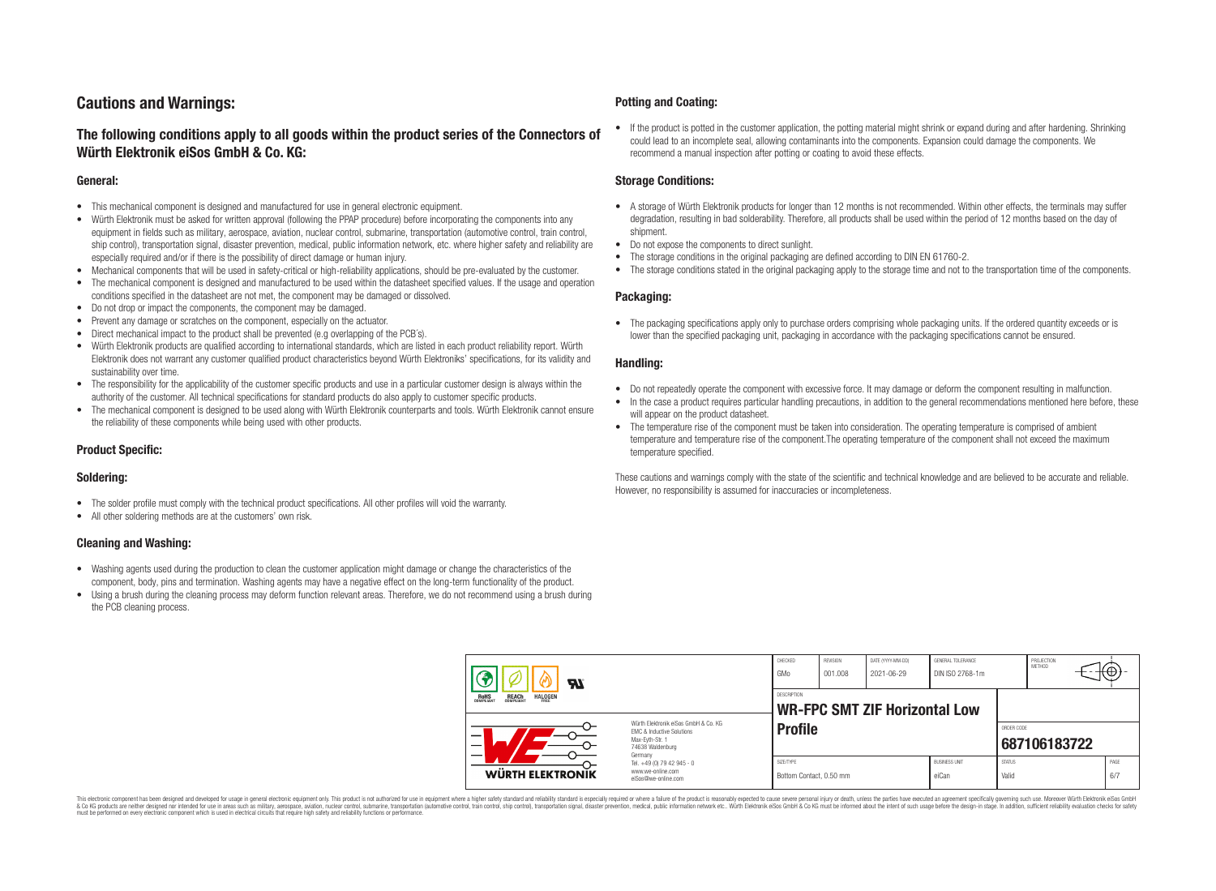## **Cautions and Warnings:**

### **The following conditions apply to all goods within the product series of the Connectors of Würth Elektronik eiSos GmbH & Co. KG:**

#### **General:**

- This mechanical component is designed and manufactured for use in general electronic equipment.
- Würth Elektronik must be asked for written approval (following the PPAP procedure) before incorporating the components into any equipment in fields such as military, aerospace, aviation, nuclear control, submarine, transportation (automotive control, train control, ship control), transportation signal, disaster prevention, medical, public information network, etc. where higher safety and reliability are especially required and/or if there is the possibility of direct damage or human injury.
- Mechanical components that will be used in safety-critical or high-reliability applications, should be pre-evaluated by the customer.
- The mechanical component is designed and manufactured to be used within the datasheet specified values. If the usage and operation conditions specified in the datasheet are not met, the component may be damaged or dissolved.
- Do not drop or impact the components, the component may be damaged.
- Prevent any damage or scratches on the component, especially on the actuator.
- Direct mechanical impact to the product shall be prevented (e.g overlapping of the PCB's).
- Würth Elektronik products are qualified according to international standards, which are listed in each product reliability report. Würth Elektronik does not warrant any customer qualified product characteristics beyond Würth Elektroniks' specifications, for its validity and sustainability over time.
- The responsibility for the applicability of the customer specific products and use in a particular customer design is always within the authority of the customer. All technical specifications for standard products do also apply to customer specific products.
- The mechanical component is designed to be used along with Würth Elektronik counterparts and tools. Würth Elektronik cannot ensure the reliability of these components while being used with other products.

#### **Product Specific:**

#### **Soldering:**

- The solder profile must comply with the technical product specifications. All other profiles will void the warranty.
- All other soldering methods are at the customers' own risk.

#### **Cleaning and Washing:**

- Washing agents used during the production to clean the customer application might damage or change the characteristics of the component, body, pins and termination. Washing agents may have a negative effect on the long-term functionality of the product.
- Using a brush during the cleaning process may deform function relevant areas. Therefore, we do not recommend using a brush during the PCB cleaning process.

#### **Potting and Coating:**

• If the product is potted in the customer application, the potting material might shrink or expand during and after hardening. Shrinking could lead to an incomplete seal, allowing contaminants into the components. Expansion could damage the components. We recommend a manual inspection after potting or coating to avoid these effects.

#### **Storage Conditions:**

- A storage of Würth Elektronik products for longer than 12 months is not recommended. Within other effects, the terminals may suffer degradation, resulting in bad solderability. Therefore, all products shall be used within the period of 12 months based on the day of shipment.
- Do not expose the components to direct sunlight.
- The storage conditions in the original packaging are defined according to DIN EN 61760-2.
- The storage conditions stated in the original packaging apply to the storage time and not to the transportation time of the components.

#### **Packaging:**

• The packaging specifications apply only to purchase orders comprising whole packaging units. If the ordered quantity exceeds or is lower than the specified packaging unit, packaging in accordance with the packaging specifications cannot be ensured.

#### **Handling:**

- Do not repeatedly operate the component with excessive force. It may damage or deform the component resulting in malfunction.
- In the case a product requires particular handling precautions, in addition to the general recommendations mentioned here before, these will appear on the product datasheet
- The temperature rise of the component must be taken into consideration. The operating temperature is comprised of ambient temperature and temperature rise of the component.The operating temperature of the component shall not exceed the maximum temperature specified.

These cautions and warnings comply with the state of the scientific and technical knowledge and are believed to be accurate and reliable. However, no responsibility is assumed for inaccuracies or incompleteness.

| Яľ                                                                      |                                                                                                                     | CHECKED<br>GMo                       | REVISION<br>001.008                                 | DATE (YYYY-MM-DD)<br>2021-06-29 | GENERAL TOLERANCE<br>DIN ISO 2768-1m |                            | PROJECTION<br><b>METHOD</b> | ₩₩, |             |
|-------------------------------------------------------------------------|---------------------------------------------------------------------------------------------------------------------|--------------------------------------|-----------------------------------------------------|---------------------------------|--------------------------------------|----------------------------|-----------------------------|-----|-------------|
| <b>REACH</b><br>COMPLIANT<br><b>HALOGEN</b><br><b>ROHS</b><br>COMPLIANT |                                                                                                                     |                                      | DESCRIPTION<br><b>WR-FPC SMT ZIF Horizontal Low</b> |                                 |                                      |                            |                             |     |             |
|                                                                         | Würth Flektronik eiSos GmbH & Co. KG<br>FMC & Inductive Solutions<br>Max-Evth-Str. 1<br>74638 Waldenburg<br>Germany | <b>Profile</b>                       |                                                     |                                 |                                      | ORDER CODE<br>687106183722 |                             |     |             |
| <b>WÜRTH ELEKTRONIK</b>                                                 | Tel. +49 (0) 79 42 945 - 0<br>www.we-online.com<br>eiSos@we-online.com                                              | SIZE/TYPE<br>Bottom Contact, 0.50 mm |                                                     |                                 | <b>BUSINESS UNIT</b><br>eiCan        | <b>STATUS</b><br>Valid     |                             |     | PAGE<br>6/7 |

This electronic component has been designed and developed for usage in general electronic equipment only. This product is not authorized for use in equipment where a higher safety standard and reliability standard si espec & Ook product a label and the membed of the seasuch as marked and as which such a membed and the such assume that income in the seasuch and the simulation and the such assume that include to the such a membed and the such